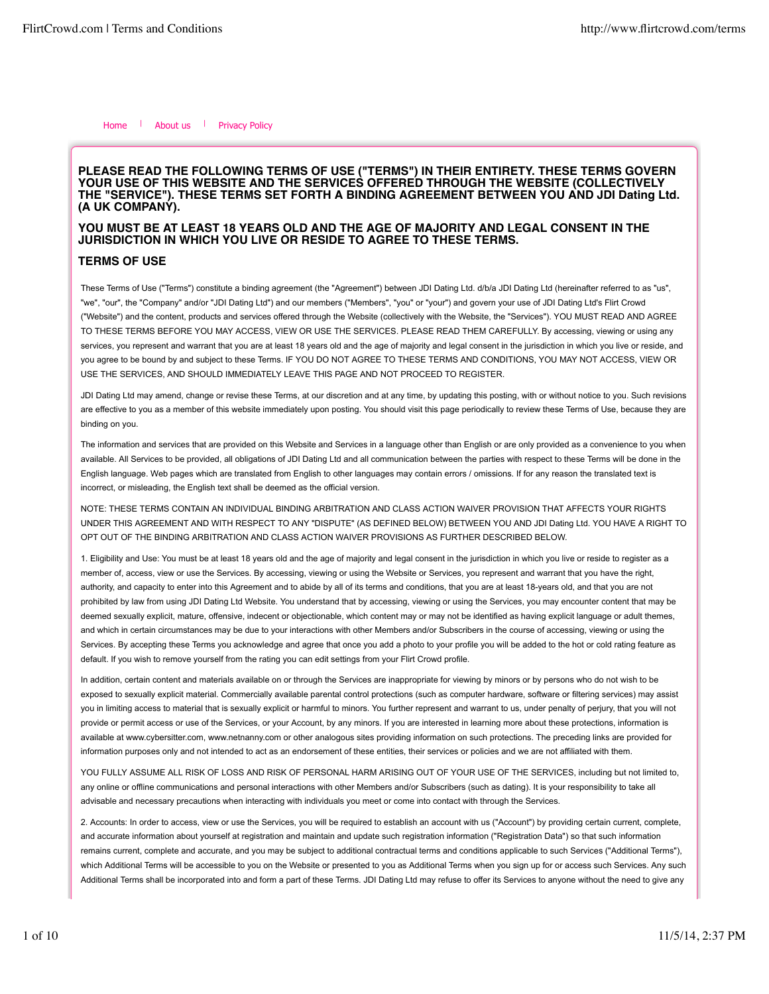Home | About us | Privacy Policy

## **PLEASE READ THE FOLLOWING TERMS OF USE ("TERMS") IN THEIR ENTIRETY. THESE TERMS GOVERN YOUR USE OF THIS WEBSITE AND THE SERVICES OFFERED THROUGH THE WEBSITE (COLLECTIVELY THE "SERVICE"). THESE TERMS SET FORTH A BINDING AGREEMENT BETWEEN YOU AND JDI Dating Ltd. (A UK COMPANY).**

# **YOU MUST BE AT LEAST 18 YEARS OLD AND THE AGE OF MAJORITY AND LEGAL CONSENT IN THE JURISDICTION IN WHICH YOU LIVE OR RESIDE TO AGREE TO THESE TERMS.**

## **TERMS OF USE**

These Terms of Use ("Terms") constitute a binding agreement (the "Agreement") between JDI Dating Ltd. d/b/a JDI Dating Ltd (hereinafter referred to as "us", "we", "our", the "Company" and/or "JDI Dating Ltd") and our members ("Members", "you" or "your") and govern your use of JDI Dating Ltd's Flirt Crowd ("Website") and the content, products and services offered through the Website (collectively with the Website, the "Services"). YOU MUST READ AND AGREE TO THESE TERMS BEFORE YOU MAY ACCESS, VIEW OR USE THE SERVICES. PLEASE READ THEM CAREFULLY. By accessing, viewing or using any services, you represent and warrant that you are at least 18 years old and the age of majority and legal consent in the jurisdiction in which you live or reside, and you agree to be bound by and subject to these Terms. IF YOU DO NOT AGREE TO THESE TERMS AND CONDITIONS, YOU MAY NOT ACCESS, VIEW OR USE THE SERVICES, AND SHOULD IMMEDIATELY LEAVE THIS PAGE AND NOT PROCEED TO REGISTER.

JDI Dating Ltd may amend, change or revise these Terms, at our discretion and at any time, by updating this posting, with or without notice to you. Such revisions are effective to you as a member of this website immediately upon posting. You should visit this page periodically to review these Terms of Use, because they are binding on you.

The information and services that are provided on this Website and Services in a language other than English or are only provided as a convenience to you when available. All Services to be provided, all obligations of JDI Dating Ltd and all communication between the parties with respect to these Terms will be done in the English language. Web pages which are translated from English to other languages may contain errors / omissions. If for any reason the translated text is incorrect, or misleading, the English text shall be deemed as the official version.

NOTE: THESE TERMS CONTAIN AN INDIVIDUAL BINDING ARBITRATION AND CLASS ACTION WAIVER PROVISION THAT AFFECTS YOUR RIGHTS UNDER THIS AGREEMENT AND WITH RESPECT TO ANY "DISPUTE" (AS DEFINED BELOW) BETWEEN YOU AND JDI Dating Ltd. YOU HAVE A RIGHT TO OPT OUT OF THE BINDING ARBITRATION AND CLASS ACTION WAIVER PROVISIONS AS FURTHER DESCRIBED BELOW.

1. Eligibility and Use: You must be at least 18 years old and the age of majority and legal consent in the jurisdiction in which you live or reside to register as a member of, access, view or use the Services. By accessing, viewing or using the Website or Services, you represent and warrant that you have the right, authority, and capacity to enter into this Agreement and to abide by all of its terms and conditions, that you are at least 18-years old, and that you are not prohibited by law from using JDI Dating Ltd Website. You understand that by accessing, viewing or using the Services, you may encounter content that may be deemed sexually explicit, mature, offensive, indecent or objectionable, which content may or may not be identified as having explicit language or adult themes, and which in certain circumstances may be due to your interactions with other Members and/or Subscribers in the course of accessing, viewing or using the Services. By accepting these Terms you acknowledge and agree that once you add a photo to your profile you will be added to the hot or cold rating feature as default. If you wish to remove yourself from the rating you can edit settings from your Flirt Crowd profile.

In addition, certain content and materials available on or through the Services are inappropriate for viewing by minors or by persons who do not wish to be exposed to sexually explicit material. Commercially available parental control protections (such as computer hardware, software or filtering services) may assist you in limiting access to material that is sexually explicit or harmful to minors. You further represent and warrant to us, under penalty of perjury, that you will not provide or permit access or use of the Services, or your Account, by any minors. If you are interested in learning more about these protections, information is available at www.cybersitter.com, www.netnanny.com or other analogous sites providing information on such protections. The preceding links are provided for information purposes only and not intended to act as an endorsement of these entities, their services or policies and we are not affiliated with them.

YOU FULLY ASSUME ALL RISK OF LOSS AND RISK OF PERSONAL HARM ARISING OUT OF YOUR USE OF THE SERVICES, including but not limited to, any online or offline communications and personal interactions with other Members and/or Subscribers (such as dating). It is your responsibility to take all advisable and necessary precautions when interacting with individuals you meet or come into contact with through the Services.

2. Accounts: In order to access, view or use the Services, you will be required to establish an account with us ("Account") by providing certain current, complete, and accurate information about yourself at registration and maintain and update such registration information ("Registration Data") so that such information remains current, complete and accurate, and you may be subject to additional contractual terms and conditions applicable to such Services ("Additional Terms"), which Additional Terms will be accessible to you on the Website or presented to you as Additional Terms when you sign up for or access such Services. Any such Additional Terms shall be incorporated into and form a part of these Terms. JDI Dating Ltd may refuse to offer its Services to anyone without the need to give any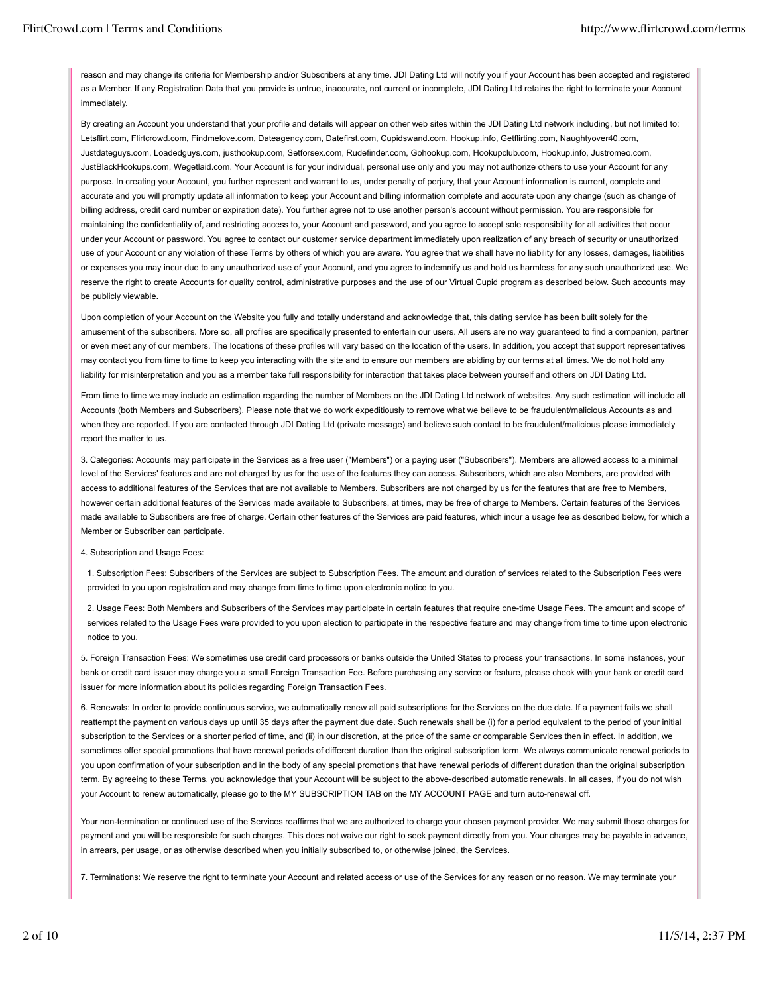reason and may change its criteria for Membership and/or Subscribers at any time. JDI Dating Ltd will notify you if your Account has been accepted and registered as a Member. If any Registration Data that you provide is untrue, inaccurate, not current or incomplete, JDI Dating Ltd retains the right to terminate your Account immediately.

By creating an Account you understand that your profile and details will appear on other web sites within the JDI Dating Ltd network including, but not limited to: Letsflirt.com, Flirtcrowd.com, Findmelove.com, Dateagency.com, Datefirst.com, Cupidswand.com, Hookup.info, Getflirting.com, Naughtyover40.com, Justdateguys.com, Loadedguys.com, justhookup.com, Setforsex.com, Rudefinder.com, Gohookup.com, Hookupclub.com, Hookup.info, Justromeo.com, JustBlackHookups.com, Wegetlaid.com. Your Account is for your individual, personal use only and you may not authorize others to use your Account for any purpose. In creating your Account, you further represent and warrant to us, under penalty of perjury, that your Account information is current, complete and accurate and you will promptly update all information to keep your Account and billing information complete and accurate upon any change (such as change of billing address, credit card number or expiration date). You further agree not to use another person's account without permission. You are responsible for maintaining the confidentiality of, and restricting access to, your Account and password, and you agree to accept sole responsibility for all activities that occur under your Account or password. You agree to contact our customer service department immediately upon realization of any breach of security or unauthorized use of your Account or any violation of these Terms by others of which you are aware. You agree that we shall have no liability for any losses, damages, liabilities or expenses you may incur due to any unauthorized use of your Account, and you agree to indemnify us and hold us harmless for any such unauthorized use. We reserve the right to create Accounts for quality control, administrative purposes and the use of our Virtual Cupid program as described below. Such accounts may be publicly viewable.

Upon completion of your Account on the Website you fully and totally understand and acknowledge that, this dating service has been built solely for the amusement of the subscribers. More so, all profiles are specifically presented to entertain our users. All users are no way guaranteed to find a companion, partner or even meet any of our members. The locations of these profiles will vary based on the location of the users. In addition, you accept that support representatives may contact you from time to time to keep you interacting with the site and to ensure our members are abiding by our terms at all times. We do not hold any liability for misinterpretation and you as a member take full responsibility for interaction that takes place between yourself and others on JDI Dating Ltd.

From time to time we may include an estimation regarding the number of Members on the JDI Dating Ltd network of websites. Any such estimation will include all Accounts (both Members and Subscribers). Please note that we do work expeditiously to remove what we believe to be fraudulent/malicious Accounts as and when they are reported. If you are contacted through JDI Dating Ltd (private message) and believe such contact to be fraudulent/malicious please immediately report the matter to us.

3. Categories: Accounts may participate in the Services as a free user ("Members") or a paying user ("Subscribers"). Members are allowed access to a minimal level of the Services' features and are not charged by us for the use of the features they can access. Subscribers, which are also Members, are provided with access to additional features of the Services that are not available to Members. Subscribers are not charged by us for the features that are free to Members, however certain additional features of the Services made available to Subscribers, at times, may be free of charge to Members. Certain features of the Services made available to Subscribers are free of charge. Certain other features of the Services are paid features, which incur a usage fee as described below, for which a Member or Subscriber can participate.

4. Subscription and Usage Fees:

1. Subscription Fees: Subscribers of the Services are subject to Subscription Fees. The amount and duration of services related to the Subscription Fees were provided to you upon registration and may change from time to time upon electronic notice to you.

2. Usage Fees: Both Members and Subscribers of the Services may participate in certain features that require one-time Usage Fees. The amount and scope of services related to the Usage Fees were provided to you upon election to participate in the respective feature and may change from time to time upon electronic notice to you.

5. Foreign Transaction Fees: We sometimes use credit card processors or banks outside the United States to process your transactions. In some instances, your bank or credit card issuer may charge you a small Foreign Transaction Fee. Before purchasing any service or feature, please check with your bank or credit card issuer for more information about its policies regarding Foreign Transaction Fees.

6. Renewals: In order to provide continuous service, we automatically renew all paid subscriptions for the Services on the due date. If a payment fails we shall reattempt the payment on various days up until 35 days after the payment due date. Such renewals shall be (i) for a period equivalent to the period of your initial subscription to the Services or a shorter period of time, and (ii) in our discretion, at the price of the same or comparable Services then in effect. In addition, we sometimes offer special promotions that have renewal periods of different duration than the original subscription term. We always communicate renewal periods to you upon confirmation of your subscription and in the body of any special promotions that have renewal periods of different duration than the original subscription term. By agreeing to these Terms, you acknowledge that your Account will be subject to the above-described automatic renewals. In all cases, if you do not wish your Account to renew automatically, please go to the MY SUBSCRIPTION TAB on the MY ACCOUNT PAGE and turn auto-renewal off.

Your non-termination or continued use of the Services reaffirms that we are authorized to charge your chosen payment provider. We may submit those charges for payment and you will be responsible for such charges. This does not waive our right to seek payment directly from you. Your charges may be payable in advance, in arrears, per usage, or as otherwise described when you initially subscribed to, or otherwise joined, the Services.

7. Terminations: We reserve the right to terminate your Account and related access or use of the Services for any reason or no reason. We may terminate your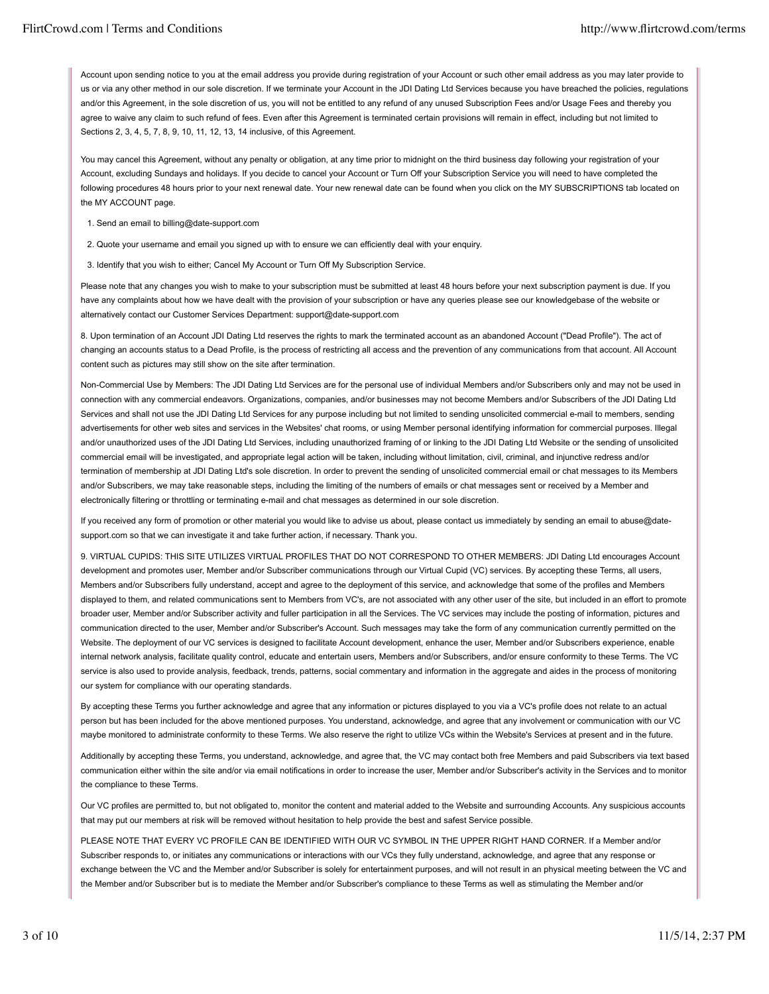Account upon sending notice to you at the email address you provide during registration of your Account or such other email address as you may later provide to us or via any other method in our sole discretion. If we terminate your Account in the JDI Dating Ltd Services because you have breached the policies, regulations and/or this Agreement, in the sole discretion of us, you will not be entitled to any refund of any unused Subscription Fees and/or Usage Fees and thereby you agree to waive any claim to such refund of fees. Even after this Agreement is terminated certain provisions will remain in effect, including but not limited to Sections 2, 3, 4, 5, 7, 8, 9, 10, 11, 12, 13, 14 inclusive, of this Agreement.

You may cancel this Agreement, without any penalty or obligation, at any time prior to midnight on the third business day following your registration of your Account, excluding Sundays and holidays. If you decide to cancel your Account or Turn Off your Subscription Service you will need to have completed the following procedures 48 hours prior to your next renewal date. Your new renewal date can be found when you click on the MY SUBSCRIPTIONS tab located on the MY ACCOUNT page.

- 1. Send an email to billing@date-support.com
- 2. Quote your username and email you signed up with to ensure we can efficiently deal with your enquiry.
- 3. Identify that you wish to either; Cancel My Account or Turn Off My Subscription Service.

Please note that any changes you wish to make to your subscription must be submitted at least 48 hours before your next subscription payment is due. If you have any complaints about how we have dealt with the provision of your subscription or have any queries please see our knowledgebase of the website or alternatively contact our Customer Services Department: support@date-support.com

8. Upon termination of an Account JDI Dating Ltd reserves the rights to mark the terminated account as an abandoned Account ("Dead Profile"). The act of changing an accounts status to a Dead Profile, is the process of restricting all access and the prevention of any communications from that account. All Account content such as pictures may still show on the site after termination.

Non-Commercial Use by Members: The JDI Dating Ltd Services are for the personal use of individual Members and/or Subscribers only and may not be used in connection with any commercial endeavors. Organizations, companies, and/or businesses may not become Members and/or Subscribers of the JDI Dating Ltd Services and shall not use the JDI Dating Ltd Services for any purpose including but not limited to sending unsolicited commercial e-mail to members, sending advertisements for other web sites and services in the Websites' chat rooms, or using Member personal identifying information for commercial purposes. Illegal and/or unauthorized uses of the JDI Dating Ltd Services, including unauthorized framing of or linking to the JDI Dating Ltd Website or the sending of unsolicited commercial email will be investigated, and appropriate legal action will be taken, including without limitation, civil, criminal, and injunctive redress and/or termination of membership at JDI Dating Ltd's sole discretion. In order to prevent the sending of unsolicited commercial email or chat messages to its Members and/or Subscribers, we may take reasonable steps, including the limiting of the numbers of emails or chat messages sent or received by a Member and electronically filtering or throttling or terminating e-mail and chat messages as determined in our sole discretion.

If you received any form of promotion or other material you would like to advise us about, please contact us immediately by sending an email to abuse@datesupport.com so that we can investigate it and take further action, if necessary. Thank you.

9. VIRTUAL CUPIDS: THIS SITE UTILIZES VIRTUAL PROFILES THAT DO NOT CORRESPOND TO OTHER MEMBERS: JDI Dating Ltd encourages Account development and promotes user, Member and/or Subscriber communications through our Virtual Cupid (VC) services. By accepting these Terms, all users, Members and/or Subscribers fully understand, accept and agree to the deployment of this service, and acknowledge that some of the profiles and Members displayed to them, and related communications sent to Members from VC's, are not associated with any other user of the site, but included in an effort to promote broader user, Member and/or Subscriber activity and fuller participation in all the Services. The VC services may include the posting of information, pictures and communication directed to the user, Member and/or Subscriber's Account. Such messages may take the form of any communication currently permitted on the Website. The deployment of our VC services is designed to facilitate Account development, enhance the user, Member and/or Subscribers experience, enable internal network analysis, facilitate quality control, educate and entertain users, Members and/or Subscribers, and/or ensure conformity to these Terms. The VC service is also used to provide analysis, feedback, trends, patterns, social commentary and information in the aggregate and aides in the process of monitoring our system for compliance with our operating standards.

By accepting these Terms you further acknowledge and agree that any information or pictures displayed to you via a VC's profile does not relate to an actual person but has been included for the above mentioned purposes. You understand, acknowledge, and agree that any involvement or communication with our VC maybe monitored to administrate conformity to these Terms. We also reserve the right to utilize VCs within the Website's Services at present and in the future.

Additionally by accepting these Terms, you understand, acknowledge, and agree that, the VC may contact both free Members and paid Subscribers via text based communication either within the site and/or via email notifications in order to increase the user, Member and/or Subscriber's activity in the Services and to monitor the compliance to these Terms.

Our VC profiles are permitted to, but not obligated to, monitor the content and material added to the Website and surrounding Accounts. Any suspicious accounts that may put our members at risk will be removed without hesitation to help provide the best and safest Service possible.

PLEASE NOTE THAT EVERY VC PROFILE CAN BE IDENTIFIED WITH OUR VC SYMBOL IN THE UPPER RIGHT HAND CORNER. If a Member and/or Subscriber responds to, or initiates any communications or interactions with our VCs they fully understand, acknowledge, and agree that any response or exchange between the VC and the Member and/or Subscriber is solely for entertainment purposes, and will not result in an physical meeting between the VC and the Member and/or Subscriber but is to mediate the Member and/or Subscriber's compliance to these Terms as well as stimulating the Member and/or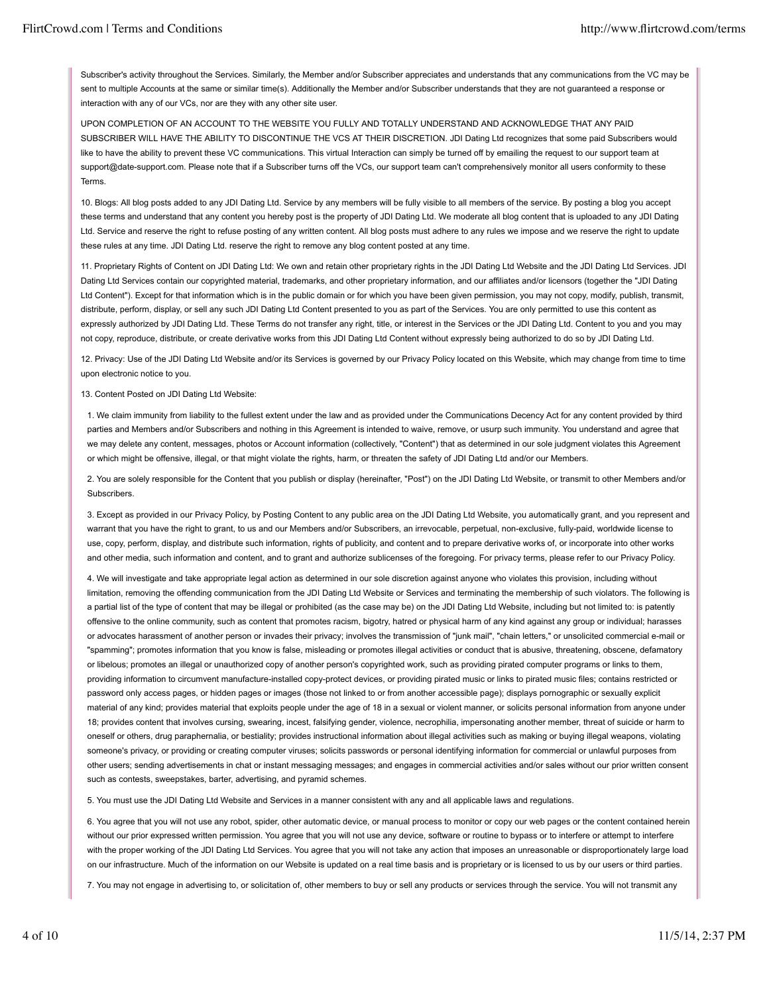Subscriber's activity throughout the Services. Similarly, the Member and/or Subscriber appreciates and understands that any communications from the VC may be sent to multiple Accounts at the same or similar time(s). Additionally the Member and/or Subscriber understands that they are not guaranteed a response or interaction with any of our VCs, nor are they with any other site user.

UPON COMPLETION OF AN ACCOUNT TO THE WEBSITE YOU FULLY AND TOTALLY UNDERSTAND AND ACKNOWLEDGE THAT ANY PAID SUBSCRIBER WILL HAVE THE ABILITY TO DISCONTINUE THE VCS AT THEIR DISCRETION. JDI Dating Ltd recognizes that some paid Subscribers would like to have the ability to prevent these VC communications. This virtual Interaction can simply be turned off by emailing the request to our support team at support@date-support.com. Please note that if a Subscriber turns off the VCs, our support team can't comprehensively monitor all users conformity to these Terms.

10. Blogs: All blog posts added to any JDI Dating Ltd. Service by any members will be fully visible to all members of the service. By posting a blog you accept these terms and understand that any content you hereby post is the property of JDI Dating Ltd. We moderate all blog content that is uploaded to any JDI Dating Ltd. Service and reserve the right to refuse posting of any written content. All blog posts must adhere to any rules we impose and we reserve the right to update these rules at any time. JDI Dating Ltd. reserve the right to remove any blog content posted at any time.

11. Proprietary Rights of Content on JDI Dating Ltd: We own and retain other proprietary rights in the JDI Dating Ltd Website and the JDI Dating Ltd Services. JDI Dating Ltd Services contain our copyrighted material, trademarks, and other proprietary information, and our affiliates and/or licensors (together the "JDI Dating Ltd Content"). Except for that information which is in the public domain or for which you have been given permission, you may not copy, modify, publish, transmit, distribute, perform, display, or sell any such JDI Dating Ltd Content presented to you as part of the Services. You are only permitted to use this content as expressly authorized by JDI Dating Ltd. These Terms do not transfer any right, title, or interest in the Services or the JDI Dating Ltd. Content to you and you may not copy, reproduce, distribute, or create derivative works from this JDI Dating Ltd Content without expressly being authorized to do so by JDI Dating Ltd.

12. Privacy: Use of the JDI Dating Ltd Website and/or its Services is governed by our Privacy Policy located on this Website, which may change from time to time upon electronic notice to you.

## 13. Content Posted on JDI Dating Ltd Website:

1. We claim immunity from liability to the fullest extent under the law and as provided under the Communications Decency Act for any content provided by third parties and Members and/or Subscribers and nothing in this Agreement is intended to waive, remove, or usurp such immunity. You understand and agree that we may delete any content, messages, photos or Account information (collectively, "Content") that as determined in our sole judgment violates this Agreement or which might be offensive, illegal, or that might violate the rights, harm, or threaten the safety of JDI Dating Ltd and/or our Members.

2. You are solely responsible for the Content that you publish or display (hereinafter, "Post") on the JDI Dating Ltd Website, or transmit to other Members and/or Subscribers.

3. Except as provided in our Privacy Policy, by Posting Content to any public area on the JDI Dating Ltd Website, you automatically grant, and you represent and warrant that you have the right to grant, to us and our Members and/or Subscribers, an irrevocable, perpetual, non-exclusive, fully-paid, worldwide license to use, copy, perform, display, and distribute such information, rights of publicity, and content and to prepare derivative works of, or incorporate into other works and other media, such information and content, and to grant and authorize sublicenses of the foregoing. For privacy terms, please refer to our Privacy Policy.

4. We will investigate and take appropriate legal action as determined in our sole discretion against anyone who violates this provision, including without limitation, removing the offending communication from the JDI Dating Ltd Website or Services and terminating the membership of such violators. The following is a partial list of the type of content that may be illegal or prohibited (as the case may be) on the JDI Dating Ltd Website, including but not limited to: is patently offensive to the online community, such as content that promotes racism, bigotry, hatred or physical harm of any kind against any group or individual; harasses or advocates harassment of another person or invades their privacy; involves the transmission of "junk mail", "chain letters," or unsolicited commercial e-mail or "spamming"; promotes information that you know is false, misleading or promotes illegal activities or conduct that is abusive, threatening, obscene, defamatory or libelous; promotes an illegal or unauthorized copy of another person's copyrighted work, such as providing pirated computer programs or links to them, providing information to circumvent manufacture-installed copy-protect devices, or providing pirated music or links to pirated music files; contains restricted or password only access pages, or hidden pages or images (those not linked to or from another accessible page); displays pornographic or sexually explicit material of any kind; provides material that exploits people under the age of 18 in a sexual or violent manner, or solicits personal information from anyone under 18; provides content that involves cursing, swearing, incest, falsifying gender, violence, necrophilia, impersonating another member, threat of suicide or harm to oneself or others, drug paraphernalia, or bestiality; provides instructional information about illegal activities such as making or buying illegal weapons, violating someone's privacy, or providing or creating computer viruses; solicits passwords or personal identifying information for commercial or unlawful purposes from other users; sending advertisements in chat or instant messaging messages; and engages in commercial activities and/or sales without our prior written consent such as contests, sweepstakes, barter, advertising, and pyramid schemes.

5. You must use the JDI Dating Ltd Website and Services in a manner consistent with any and all applicable laws and regulations.

6. You agree that you will not use any robot, spider, other automatic device, or manual process to monitor or copy our web pages or the content contained herein without our prior expressed written permission. You agree that you will not use any device, software or routine to bypass or to interfere or attempt to interfere with the proper working of the JDI Dating Ltd Services. You agree that you will not take any action that imposes an unreasonable or disproportionately large load on our infrastructure. Much of the information on our Website is updated on a real time basis and is proprietary or is licensed to us by our users or third parties.

7. You may not engage in advertising to, or solicitation of, other members to buy or sell any products or services through the service. You will not transmit any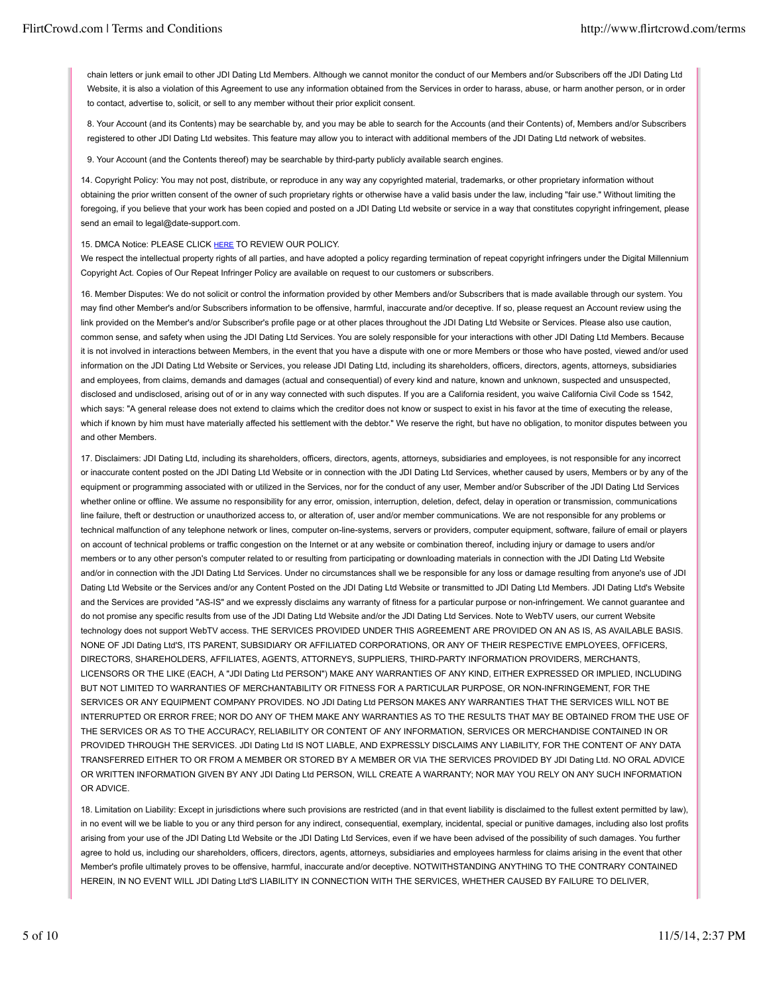chain letters or junk email to other JDI Dating Ltd Members. Although we cannot monitor the conduct of our Members and/or Subscribers off the JDI Dating Ltd Website, it is also a violation of this Agreement to use any information obtained from the Services in order to harass, abuse, or harm another person, or in order to contact, advertise to, solicit, or sell to any member without their prior explicit consent.

8. Your Account (and its Contents) may be searchable by, and you may be able to search for the Accounts (and their Contents) of, Members and/or Subscribers registered to other JDI Dating Ltd websites. This feature may allow you to interact with additional members of the JDI Dating Ltd network of websites.

9. Your Account (and the Contents thereof) may be searchable by third-party publicly available search engines.

14. Copyright Policy: You may not post, distribute, or reproduce in any way any copyrighted material, trademarks, or other proprietary information without obtaining the prior written consent of the owner of such proprietary rights or otherwise have a valid basis under the law, including "fair use." Without limiting the foregoing, if you believe that your work has been copied and posted on a JDI Dating Ltd website or service in a way that constitutes copyright infringement, please send an email to legal@date-support.com.

### 15. DMCA Notice: PLEASE CLICK HERE TO REVIEW OUR POLICY.

We respect the intellectual property rights of all parties, and have adopted a policy regarding termination of repeat copyright infringers under the Digital Millennium Copyright Act. Copies of Our Repeat Infringer Policy are available on request to our customers or subscribers.

16. Member Disputes: We do not solicit or control the information provided by other Members and/or Subscribers that is made available through our system. You may find other Member's and/or Subscribers information to be offensive, harmful, inaccurate and/or deceptive. If so, please request an Account review using the link provided on the Member's and/or Subscriber's profile page or at other places throughout the JDI Dating Ltd Website or Services. Please also use caution, common sense, and safety when using the JDI Dating Ltd Services. You are solely responsible for your interactions with other JDI Dating Ltd Members. Because it is not involved in interactions between Members, in the event that you have a dispute with one or more Members or those who have posted, viewed and/or used information on the JDI Dating Ltd Website or Services, you release JDI Dating Ltd, including its shareholders, officers, directors, agents, attorneys, subsidiaries and employees, from claims, demands and damages (actual and consequential) of every kind and nature, known and unknown, suspected and unsuspected, disclosed and undisclosed, arising out of or in any way connected with such disputes. If you are a California resident, you waive California Civil Code ss 1542, which says: "A general release does not extend to claims which the creditor does not know or suspect to exist in his favor at the time of executing the release. which if known by him must have materially affected his settlement with the debtor." We reserve the right, but have no obligation, to monitor disputes between you and other Members.

17. Disclaimers: JDI Dating Ltd, including its shareholders, officers, directors, agents, attorneys, subsidiaries and employees, is not responsible for any incorrect or inaccurate content posted on the JDI Dating Ltd Website or in connection with the JDI Dating Ltd Services, whether caused by users, Members or by any of the equipment or programming associated with or utilized in the Services, nor for the conduct of any user, Member and/or Subscriber of the JDI Dating Ltd Services whether online or offline. We assume no responsibility for any error, omission, interruption, deletion, defect, delay in operation or transmission, communications line failure, theft or destruction or unauthorized access to, or alteration of, user and/or member communications. We are not responsible for any problems or technical malfunction of any telephone network or lines, computer on-line-systems, servers or providers, computer equipment, software, failure of email or players on account of technical problems or traffic congestion on the Internet or at any website or combination thereof, including injury or damage to users and/or members or to any other person's computer related to or resulting from participating or downloading materials in connection with the JDI Dating Ltd Website and/or in connection with the JDI Dating Ltd Services. Under no circumstances shall we be responsible for any loss or damage resulting from anyone's use of JDI Dating Ltd Website or the Services and/or any Content Posted on the JDI Dating Ltd Website or transmitted to JDI Dating Ltd Members. JDI Dating Ltd's Website and the Services are provided "AS-IS" and we expressly disclaims any warranty of fitness for a particular purpose or non-infringement. We cannot guarantee and do not promise any specific results from use of the JDI Dating Ltd Website and/or the JDI Dating Ltd Services. Note to WebTV users, our current Website technology does not support WebTV access. THE SERVICES PROVIDED UNDER THIS AGREEMENT ARE PROVIDED ON AN AS IS, AS AVAILABLE BASIS. NONE OF JDI Dating Ltd'S, ITS PARENT, SUBSIDIARY OR AFFILIATED CORPORATIONS, OR ANY OF THEIR RESPECTIVE EMPLOYEES, OFFICERS, DIRECTORS, SHAREHOLDERS, AFFILIATES, AGENTS, ATTORNEYS, SUPPLIERS, THIRD-PARTY INFORMATION PROVIDERS, MERCHANTS, LICENSORS OR THE LIKE (EACH, A "JDI Dating Ltd PERSON") MAKE ANY WARRANTIES OF ANY KIND, EITHER EXPRESSED OR IMPLIED, INCLUDING BUT NOT LIMITED TO WARRANTIES OF MERCHANTABILITY OR FITNESS FOR A PARTICULAR PURPOSE, OR NON-INFRINGEMENT, FOR THE SERVICES OR ANY EQUIPMENT COMPANY PROVIDES. NO JDI Dating Ltd PERSON MAKES ANY WARRANTIES THAT THE SERVICES WILL NOT BE INTERRUPTED OR ERROR FREE; NOR DO ANY OF THEM MAKE ANY WARRANTIES AS TO THE RESULTS THAT MAY BE OBTAINED FROM THE USE OF THE SERVICES OR AS TO THE ACCURACY, RELIABILITY OR CONTENT OF ANY INFORMATION, SERVICES OR MERCHANDISE CONTAINED IN OR PROVIDED THROUGH THE SERVICES. JDI Dating Ltd IS NOT LIABLE, AND EXPRESSLY DISCLAIMS ANY LIABILITY, FOR THE CONTENT OF ANY DATA TRANSFERRED EITHER TO OR FROM A MEMBER OR STORED BY A MEMBER OR VIA THE SERVICES PROVIDED BY JDI Dating Ltd. NO ORAL ADVICE OR WRITTEN INFORMATION GIVEN BY ANY JDI Dating Ltd PERSON, WILL CREATE A WARRANTY; NOR MAY YOU RELY ON ANY SUCH INFORMATION OR ADVICE.

18. Limitation on Liability: Except in jurisdictions where such provisions are restricted (and in that event liability is disclaimed to the fullest extent permitted by law), in no event will we be liable to you or any third person for any indirect, consequential, exemplary, incidental, special or punitive damages, including also lost profits arising from your use of the JDI Dating Ltd Website or the JDI Dating Ltd Services, even if we have been advised of the possibility of such damages. You further agree to hold us, including our shareholders, officers, directors, agents, attorneys, subsidiaries and employees harmless for claims arising in the event that other Member's profile ultimately proves to be offensive, harmful, inaccurate and/or deceptive. NOTWITHSTANDING ANYTHING TO THE CONTRARY CONTAINED HEREIN, IN NO EVENT WILL JDI Dating Ltd'S LIABILITY IN CONNECTION WITH THE SERVICES, WHETHER CAUSED BY FAILURE TO DELIVER,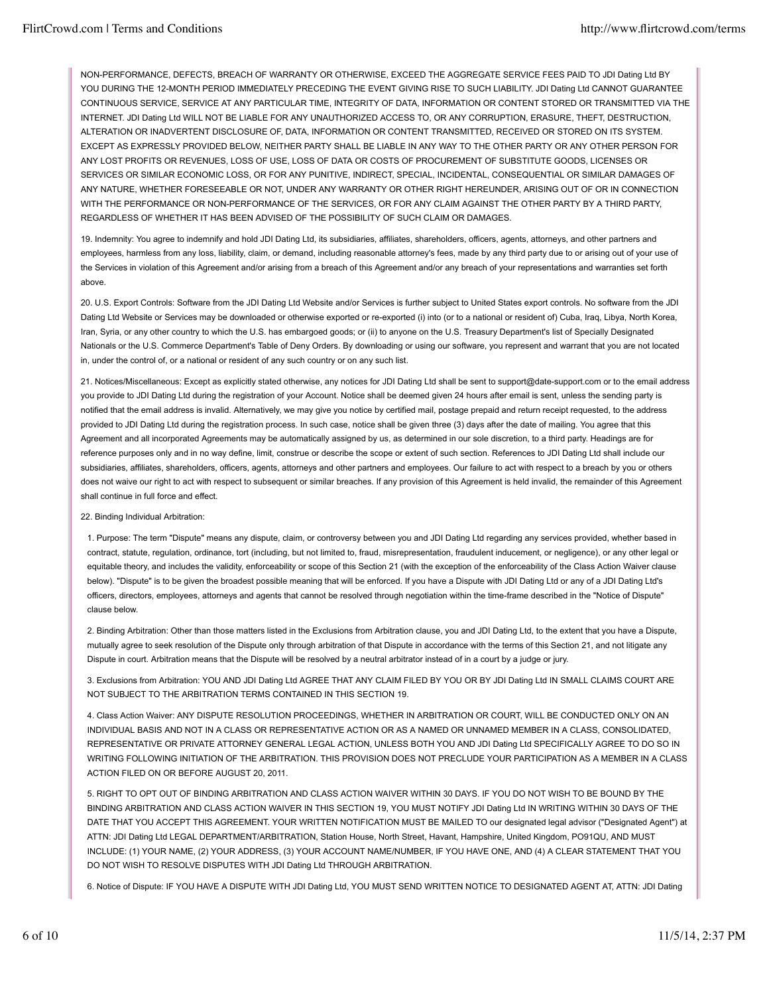NON-PERFORMANCE, DEFECTS, BREACH OF WARRANTY OR OTHERWISE, EXCEED THE AGGREGATE SERVICE FEES PAID TO JDI Dating Ltd BY YOU DURING THE 12-MONTH PERIOD IMMEDIATELY PRECEDING THE EVENT GIVING RISE TO SUCH LIABILITY. JDI Dating Ltd CANNOT GUARANTEE CONTINUOUS SERVICE, SERVICE AT ANY PARTICULAR TIME, INTEGRITY OF DATA, INFORMATION OR CONTENT STORED OR TRANSMITTED VIA THE INTERNET. JDI Dating Ltd WILL NOT BE LIABLE FOR ANY UNAUTHORIZED ACCESS TO, OR ANY CORRUPTION, ERASURE, THEFT, DESTRUCTION, ALTERATION OR INADVERTENT DISCLOSURE OF, DATA, INFORMATION OR CONTENT TRANSMITTED, RECEIVED OR STORED ON ITS SYSTEM. EXCEPT AS EXPRESSLY PROVIDED BELOW, NEITHER PARTY SHALL BE LIABLE IN ANY WAY TO THE OTHER PARTY OR ANY OTHER PERSON FOR ANY LOST PROFITS OR REVENUES, LOSS OF USE, LOSS OF DATA OR COSTS OF PROCUREMENT OF SUBSTITUTE GOODS, LICENSES OR SERVICES OR SIMILAR ECONOMIC LOSS, OR FOR ANY PUNITIVE, INDIRECT, SPECIAL, INCIDENTAL, CONSEQUENTIAL OR SIMILAR DAMAGES OF ANY NATURE, WHETHER FORESEEABLE OR NOT, UNDER ANY WARRANTY OR OTHER RIGHT HEREUNDER, ARISING OUT OF OR IN CONNECTION WITH THE PERFORMANCE OR NON-PERFORMANCE OF THE SERVICES, OR FOR ANY CLAIM AGAINST THE OTHER PARTY BY A THIRD PARTY, REGARDLESS OF WHETHER IT HAS BEEN ADVISED OF THE POSSIBILITY OF SUCH CLAIM OR DAMAGES.

19. Indemnity: You agree to indemnify and hold JDI Dating Ltd, its subsidiaries, affiliates, shareholders, officers, agents, attorneys, and other partners and employees, harmless from any loss, liability, claim, or demand, including reasonable attorney's fees, made by any third party due to or arising out of your use of the Services in violation of this Agreement and/or arising from a breach of this Agreement and/or any breach of your representations and warranties set forth above.

20. U.S. Export Controls: Software from the JDI Dating Ltd Website and/or Services is further subject to United States export controls. No software from the JDI Dating Ltd Website or Services may be downloaded or otherwise exported or re-exported (i) into (or to a national or resident of) Cuba, Iraq, Libya, North Korea, Iran, Syria, or any other country to which the U.S. has embargoed goods; or (ii) to anyone on the U.S. Treasury Department's list of Specially Designated Nationals or the U.S. Commerce Department's Table of Deny Orders. By downloading or using our software, you represent and warrant that you are not located in, under the control of, or a national or resident of any such country or on any such list.

21. Notices/Miscellaneous: Except as explicitly stated otherwise, any notices for JDI Dating Ltd shall be sent to support@date-support.com or to the email address you provide to JDI Dating Ltd during the registration of your Account. Notice shall be deemed given 24 hours after email is sent, unless the sending party is notified that the email address is invalid. Alternatively, we may give you notice by certified mail, postage prepaid and return receipt requested, to the address provided to JDI Dating Ltd during the registration process. In such case, notice shall be given three (3) days after the date of mailing. You agree that this Agreement and all incorporated Agreements may be automatically assigned by us, as determined in our sole discretion, to a third party. Headings are for reference purposes only and in no way define, limit, construe or describe the scope or extent of such section. References to JDI Dating Ltd shall include our subsidiaries, affiliates, shareholders, officers, agents, attorneys and other partners and employees. Our failure to act with respect to a breach by you or others does not waive our right to act with respect to subsequent or similar breaches. If any provision of this Agreement is held invalid, the remainder of this Agreement shall continue in full force and effect.

## 22. Binding Individual Arbitration:

1. Purpose: The term "Dispute" means any dispute, claim, or controversy between you and JDI Dating Ltd regarding any services provided, whether based in contract, statute, regulation, ordinance, tort (including, but not limited to, fraud, misrepresentation, fraudulent inducement, or negligence), or any other legal or equitable theory, and includes the validity, enforceability or scope of this Section 21 (with the exception of the enforceability of the Class Action Waiver clause below). "Dispute" is to be given the broadest possible meaning that will be enforced. If you have a Dispute with JDI Dating Ltd or any of a JDI Dating Ltd's officers, directors, employees, attorneys and agents that cannot be resolved through negotiation within the time-frame described in the "Notice of Dispute" clause below.

2. Binding Arbitration: Other than those matters listed in the Exclusions from Arbitration clause, you and JDI Dating Ltd, to the extent that you have a Dispute, mutually agree to seek resolution of the Dispute only through arbitration of that Dispute in accordance with the terms of this Section 21, and not litigate any Dispute in court. Arbitration means that the Dispute will be resolved by a neutral arbitrator instead of in a court by a judge or jury.

3. Exclusions from Arbitration: YOU AND JDI Dating Ltd AGREE THAT ANY CLAIM FILED BY YOU OR BY JDI Dating Ltd IN SMALL CLAIMS COURT ARE NOT SUBJECT TO THE ARBITRATION TERMS CONTAINED IN THIS SECTION 19.

4. Class Action Waiver: ANY DISPUTE RESOLUTION PROCEEDINGS, WHETHER IN ARBITRATION OR COURT, WILL BE CONDUCTED ONLY ON AN INDIVIDUAL BASIS AND NOT IN A CLASS OR REPRESENTATIVE ACTION OR AS A NAMED OR UNNAMED MEMBER IN A CLASS, CONSOLIDATED, REPRESENTATIVE OR PRIVATE ATTORNEY GENERAL LEGAL ACTION, UNLESS BOTH YOU AND JDI Dating Ltd SPECIFICALLY AGREE TO DO SO IN WRITING FOLLOWING INITIATION OF THE ARBITRATION. THIS PROVISION DOES NOT PRECLUDE YOUR PARTICIPATION AS A MEMBER IN A CLASS ACTION FILED ON OR BEFORE AUGUST 20, 2011.

5. RIGHT TO OPT OUT OF BINDING ARBITRATION AND CLASS ACTION WAIVER WITHIN 30 DAYS. IF YOU DO NOT WISH TO BE BOUND BY THE BINDING ARBITRATION AND CLASS ACTION WAIVER IN THIS SECTION 19, YOU MUST NOTIFY JDI Dating Ltd IN WRITING WITHIN 30 DAYS OF THE DATE THAT YOU ACCEPT THIS AGREEMENT. YOUR WRITTEN NOTIFICATION MUST BE MAILED TO our designated legal advisor ("Designated Agent") at ATTN: JDI Dating Ltd LEGAL DEPARTMENT/ARBITRATION, Station House, North Street, Havant, Hampshire, United Kingdom, PO91QU, AND MUST INCLUDE: (1) YOUR NAME, (2) YOUR ADDRESS, (3) YOUR ACCOUNT NAME/NUMBER, IF YOU HAVE ONE, AND (4) A CLEAR STATEMENT THAT YOU DO NOT WISH TO RESOLVE DISPUTES WITH JDI Dating Ltd THROUGH ARBITRATION.

6. Notice of Dispute: IF YOU HAVE A DISPUTE WITH JDI Dating Ltd, YOU MUST SEND WRITTEN NOTICE TO DESIGNATED AGENT AT, ATTN: JDI Dating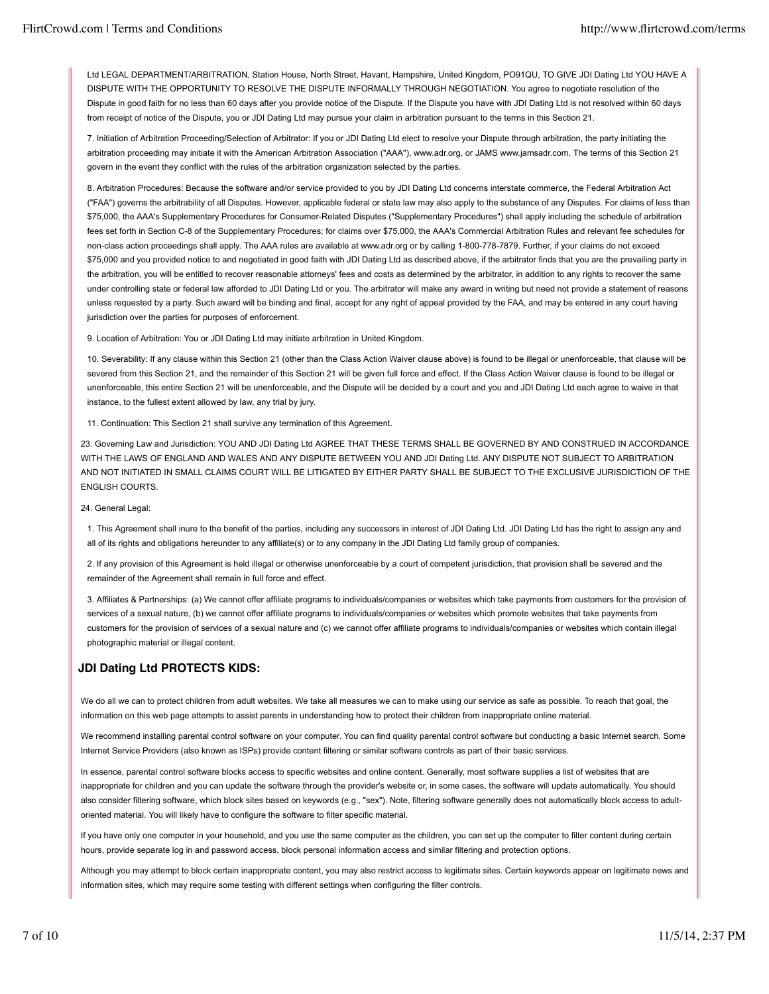Ltd LEGAL DEPARTMENT/ARBITRATION, Station House, North Street, Havant, Hampshire, United Kingdom, PO91QU, TO GIVE JDI Dating Ltd YOU HAVE A DISPUTE WITH THE OPPORTUNITY TO RESOLVE THE DISPUTE INFORMALLY THROUGH NEGOTIATION. You agree to negotiate resolution of the Dispute in good faith for no less than 60 days after you provide notice of the Dispute. If the Dispute you have with JDI Dating Ltd is not resolved within 60 days from receipt of notice of the Dispute, you or JDI Dating Ltd may pursue your claim in arbitration pursuant to the terms in this Section 21.

7. Initiation of Arbitration Proceeding/Selection of Arbitrator: If you or JDI Dating Ltd elect to resolve your Dispute through arbitration, the party initiating the arbitration proceeding may initiate it with the American Arbitration Association ("AAA"), www.adr.org, or JAMS www.jamsadr.com. The terms of this Section 21 govern in the event they conflict with the rules of the arbitration organization selected by the parties.

8. Arbitration Procedures: Because the software and/or service provided to you by JDI Dating Ltd concerns interstate commerce, the Federal Arbitration Act ("FAA") governs the arbitrability of all Disputes. However, applicable federal or state law may also apply to the substance of any Disputes. For claims of less than \$75,000, the AAA's Supplementary Procedures for Consumer-Related Disputes ("Supplementary Procedures") shall apply including the schedule of arbitration fees set forth in Section C-8 of the Supplementary Procedures; for claims over \$75,000, the AAA's Commercial Arbitration Rules and relevant fee schedules for non-class action proceedings shall apply. The AAA rules are available at www.adr.org or by calling 1-800-778-7879. Further, if your claims do not exceed \$75,000 and you provided notice to and negotiated in good faith with JDI Dating Ltd as described above, if the arbitrator finds that you are the prevailing party in the arbitration, you will be entitled to recover reasonable attorneys' fees and costs as determined by the arbitrator, in addition to any rights to recover the same under controlling state or federal law afforded to JDI Dating Ltd or you. The arbitrator will make any award in writing but need not provide a statement of reasons unless requested by a party. Such award will be binding and final, accept for any right of appeal provided by the FAA, and may be entered in any court having jurisdiction over the parties for purposes of enforcement.

9. Location of Arbitration: You or JDI Dating Ltd may initiate arbitration in United Kingdom.

10. Severability: If any clause within this Section 21 (other than the Class Action Waiver clause above) is found to be illegal or unenforceable, that clause will be severed from this Section 21, and the remainder of this Section 21 will be given full force and effect. If the Class Action Waiver clause is found to be illegal or unenforceable, this entire Section 21 will be unenforceable, and the Dispute will be decided by a court and you and JDI Dating Ltd each agree to waive in that instance, to the fullest extent allowed by law, any trial by jury.

11. Continuation: This Section 21 shall survive any termination of this Agreement.

23. Governing Law and Jurisdiction: YOU AND JDI Dating Ltd AGREE THAT THESE TERMS SHALL BE GOVERNED BY AND CONSTRUED IN ACCORDANCE WITH THE LAWS OF ENGLAND AND WALES AND ANY DISPUTE BETWEEN YOU AND JDI Dating Ltd. ANY DISPUTE NOT SUBJECT TO ARBITRATION AND NOT INITIATED IN SMALL CLAIMS COURT WILL BE LITIGATED BY EITHER PARTY SHALL BE SUBJECT TO THE EXCLUSIVE JURISDICTION OF THE ENGLISH COURTS.

## 24. General Legal:

1. This Agreement shall inure to the benefit of the parties, including any successors in interest of JDI Dating Ltd. JDI Dating Ltd has the right to assign any and all of its rights and obligations hereunder to any affiliate(s) or to any company in the JDI Dating Ltd family group of companies.

2. If any provision of this Agreement is held illegal or otherwise unenforceable by a court of competent jurisdiction, that provision shall be severed and the remainder of the Agreement shall remain in full force and effect.

3. Affiliates & Partnerships: (a) We cannot offer affiliate programs to individuals/companies or websites which take payments from customers for the provision of services of a sexual nature, (b) we cannot offer affiliate programs to individuals/companies or websites which promote websites that take payments from customers for the provision of services of a sexual nature and (c) we cannot offer affiliate programs to individuals/companies or websites which contain illegal photographic material or illegal content.

# **JDI Dating Ltd PROTECTS KIDS:**

We do all we can to protect children from adult websites. We take all measures we can to make using our service as safe as possible. To reach that goal, the information on this web page attempts to assist parents in understanding how to protect their children from inappropriate online material.

We recommend installing parental control software on your computer. You can find quality parental control software but conducting a basic Internet search. Some Internet Service Providers (also known as ISPs) provide content filtering or similar software controls as part of their basic services.

In essence, parental control software blocks access to specific websites and online content. Generally, most software supplies a list of websites that are inappropriate for children and you can update the software through the provider's website or, in some cases, the software will update automatically. You should also consider filtering software, which block sites based on keywords (e.g., "sex"). Note, filtering software generally does not automatically block access to adultoriented material. You will likely have to configure the software to filter specific material.

If you have only one computer in your household, and you use the same computer as the children, you can set up the computer to filter content during certain hours, provide separate log in and password access, block personal information access and similar filtering and protection options.

Although you may attempt to block certain inappropriate content, you may also restrict access to legitimate sites. Certain keywords appear on legitimate news and information sites, which may require some testing with different settings when configuring the filter controls.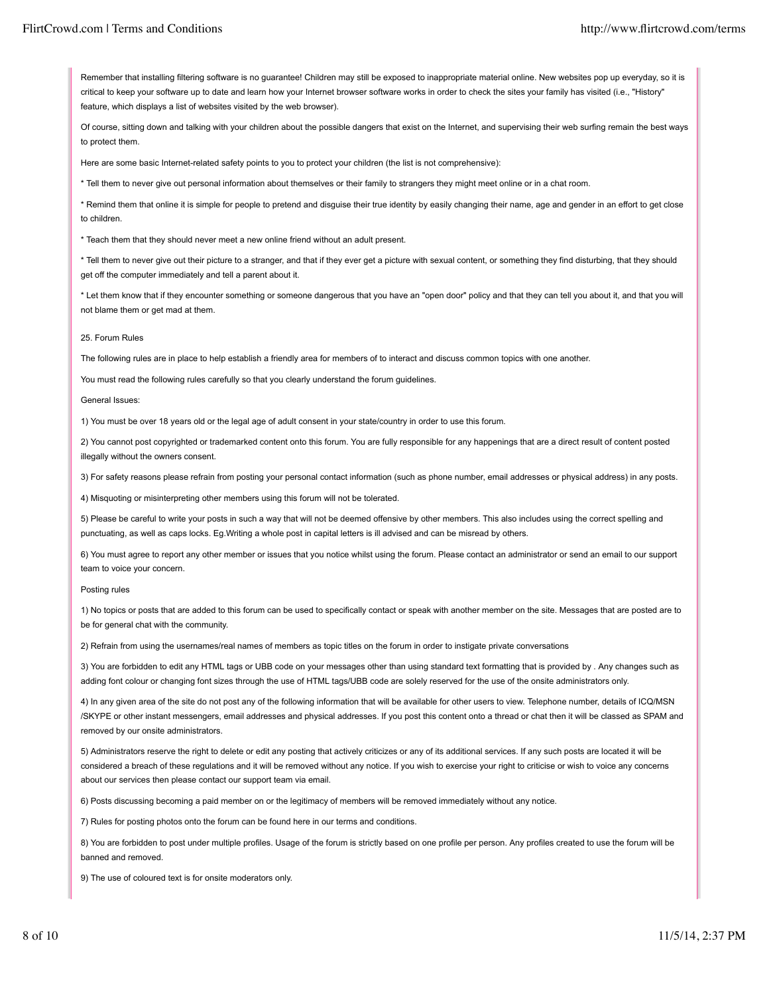Remember that installing filtering software is no guarantee! Children may still be exposed to inappropriate material online. New websites pop up everyday, so it is critical to keep your software up to date and learn how your Internet browser software works in order to check the sites your family has visited (i.e., "History" feature, which displays a list of websites visited by the web browser).

Of course, sitting down and talking with your children about the possible dangers that exist on the Internet, and supervising their web surfing remain the best ways to protect them.

Here are some basic Internet-related safety points to you to protect your children (the list is not comprehensive):

\* Tell them to never give out personal information about themselves or their family to strangers they might meet online or in a chat room.

\* Remind them that online it is simple for people to pretend and disguise their true identity by easily changing their name, age and gender in an effort to get close to children.

\* Teach them that they should never meet a new online friend without an adult present.

\* Tell them to never give out their picture to a stranger, and that if they ever get a picture with sexual content, or something they find disturbing, that they should get off the computer immediately and tell a parent about it.

\* Let them know that if they encounter something or someone dangerous that you have an "open door" policy and that they can tell you about it, and that you will not blame them or get mad at them.

### 25. Forum Rules

The following rules are in place to help establish a friendly area for members of to interact and discuss common topics with one another.

You must read the following rules carefully so that you clearly understand the forum guidelines.

#### General Issues:

1) You must be over 18 years old or the legal age of adult consent in your state/country in order to use this forum.

2) You cannot post copyrighted or trademarked content onto this forum. You are fully responsible for any happenings that are a direct result of content posted illegally without the owners consent.

3) For safety reasons please refrain from posting your personal contact information (such as phone number, email addresses or physical address) in any posts.

4) Misquoting or misinterpreting other members using this forum will not be tolerated.

5) Please be careful to write your posts in such a way that will not be deemed offensive by other members. This also includes using the correct spelling and punctuating, as well as caps locks. Eg.Writing a whole post in capital letters is ill advised and can be misread by others.

6) You must agree to report any other member or issues that you notice whilst using the forum. Please contact an administrator or send an email to our support team to voice your concern.

### Posting rules

1) No topics or posts that are added to this forum can be used to specifically contact or speak with another member on the site. Messages that are posted are to be for general chat with the community.

2) Refrain from using the usernames/real names of members as topic titles on the forum in order to instigate private conversations

3) You are forbidden to edit any HTML tags or UBB code on your messages other than using standard text formatting that is provided by . Any changes such as adding font colour or changing font sizes through the use of HTML tags/UBB code are solely reserved for the use of the onsite administrators only.

4) In any given area of the site do not post any of the following information that will be available for other users to view. Telephone number, details of ICQ/MSN /SKYPE or other instant messengers, email addresses and physical addresses. If you post this content onto a thread or chat then it will be classed as SPAM and removed by our onsite administrators.

5) Administrators reserve the right to delete or edit any posting that actively criticizes or any of its additional services. If any such posts are located it will be considered a breach of these regulations and it will be removed without any notice. If you wish to exercise your right to criticise or wish to voice any concerns about our services then please contact our support team via email.

6) Posts discussing becoming a paid member on or the legitimacy of members will be removed immediately without any notice.

7) Rules for posting photos onto the forum can be found here in our terms and conditions.

8) You are forbidden to post under multiple profiles. Usage of the forum is strictly based on one profile per person. Any profiles created to use the forum will be banned and removed.

9) The use of coloured text is for onsite moderators only.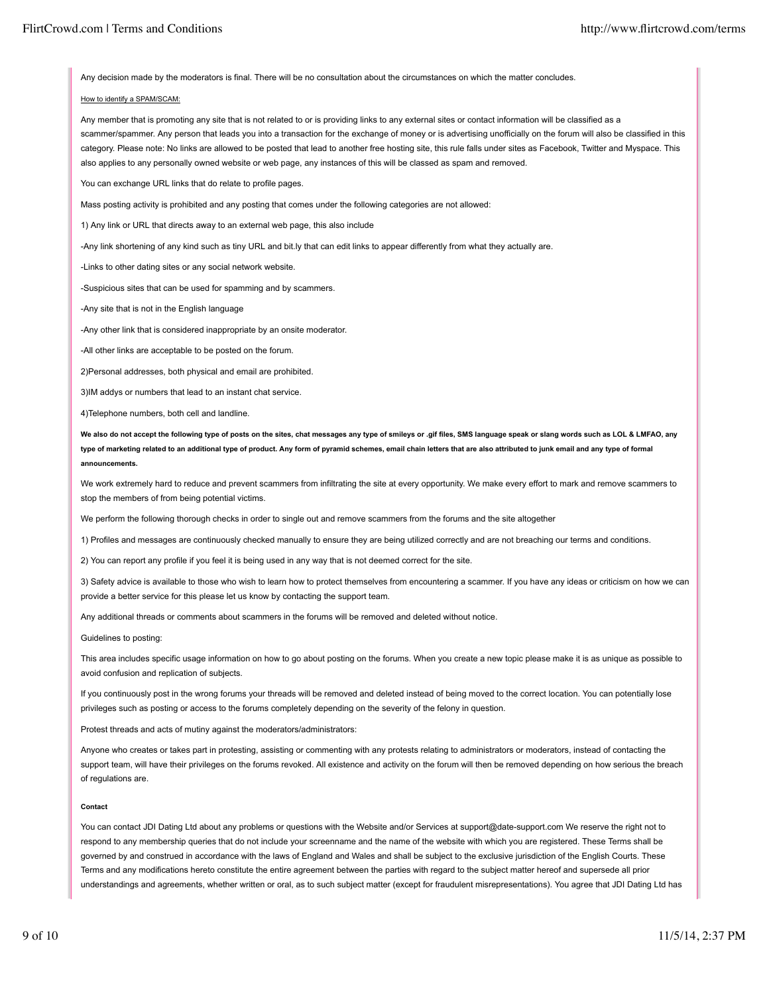Any decision made by the moderators is final. There will be no consultation about the circumstances on which the matter concludes.

# How to identify a SPAM/SCAM:

Any member that is promoting any site that is not related to or is providing links to any external sites or contact information will be classified as a scammer/spammer. Any person that leads you into a transaction for the exchange of money or is advertising unofficially on the forum will also be classified in this category. Please note: No links are allowed to be posted that lead to another free hosting site, this rule falls under sites as Facebook, Twitter and Myspace. This also applies to any personally owned website or web page, any instances of this will be classed as spam and removed.

You can exchange URL links that do relate to profile pages.

Mass posting activity is prohibited and any posting that comes under the following categories are not allowed:

1) Any link or URL that directs away to an external web page, this also include

-Any link shortening of any kind such as tiny URL and bit.ly that can edit links to appear differently from what they actually are.

-Links to other dating sites or any social network website.

-Suspicious sites that can be used for spamming and by scammers.

-Any site that is not in the English language

-Any other link that is considered inappropriate by an onsite moderator.

-All other links are acceptable to be posted on the forum.

2)Personal addresses, both physical and email are prohibited.

3)IM addys or numbers that lead to an instant chat service.

4)Telephone numbers, both cell and landline.

**We also do not accept the following type of posts on the sites, chat messages any type of smileys or .gif files, SMS language speak or slang words such as LOL & LMFAO, any type of marketing related to an additional type of product. Any form of pyramid schemes, email chain letters that are also attributed to junk email and any type of formal announcements.**

We work extremely hard to reduce and prevent scammers from infiltrating the site at every opportunity. We make every effort to mark and remove scammers to stop the members of from being potential victims.

We perform the following thorough checks in order to single out and remove scammers from the forums and the site altogether

1) Profiles and messages are continuously checked manually to ensure they are being utilized correctly and are not breaching our terms and conditions.

2) You can report any profile if you feel it is being used in any way that is not deemed correct for the site.

3) Safety advice is available to those who wish to learn how to protect themselves from encountering a scammer. If you have any ideas or criticism on how we can provide a better service for this please let us know by contacting the support team.

Any additional threads or comments about scammers in the forums will be removed and deleted without notice.

Guidelines to posting:

This area includes specific usage information on how to go about posting on the forums. When you create a new topic please make it is as unique as possible to avoid confusion and replication of subjects.

If you continuously post in the wrong forums your threads will be removed and deleted instead of being moved to the correct location. You can potentially lose privileges such as posting or access to the forums completely depending on the severity of the felony in question.

Protest threads and acts of mutiny against the moderators/administrators:

Anyone who creates or takes part in protesting, assisting or commenting with any protests relating to administrators or moderators, instead of contacting the support team, will have their privileges on the forums revoked. All existence and activity on the forum will then be removed depending on how serious the breach of regulations are.

### **Contact**

You can contact JDI Dating Ltd about any problems or questions with the Website and/or Services at support@date-support.com We reserve the right not to respond to any membership queries that do not include your screenname and the name of the website with which you are registered. These Terms shall be governed by and construed in accordance with the laws of England and Wales and shall be subject to the exclusive jurisdiction of the English Courts. These Terms and any modifications hereto constitute the entire agreement between the parties with regard to the subject matter hereof and supersede all prior understandings and agreements, whether written or oral, as to such subject matter (except for fraudulent misrepresentations). You agree that JDI Dating Ltd has